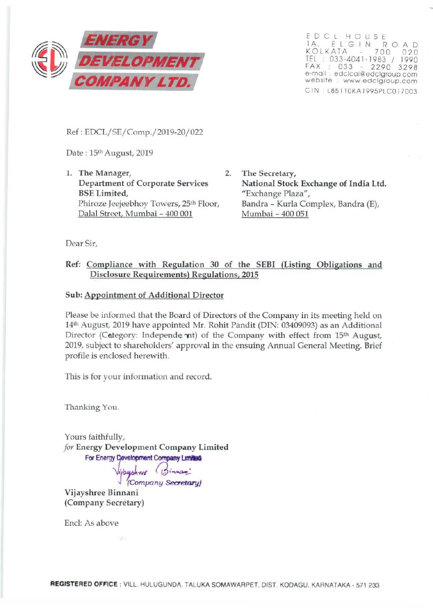

EDCL HOUSE lA , E L G IN R 0 AD KO LKATA 700 0 20 TEL: 033-4041-1983 / 1990 FAX : 033 - 2290 3298 e-mail : edclcal@edclgroup.com website : www.edclgroup.com C IN l85110KA 1995PLCO 17003

Ref: EDCL/SE/Comp./2019-20/022

Date : 15th August, 2019

1. The Manager, 2. Department of Corporate Services BSE Limited, Phiroze Jeejeebhoy Towers, 25<sup>th</sup> Floor, Dalal Street, Mumbai - 400 001

The Secretary, National Stock Exchange of India Ltd. "Exchange Plaza", Bandra - Kurla Complex, Bandra (E), Mumbai - 400 051

Dear Sir,

## Ref: Compliance with Regulation 30 of the SEBI (Listing Obligations and Disclosure Requirements) Regulations, 2015

## Sub: Appointment of Additional Director

Please be informed that the Board of Directors of the Company in its meeting held on 14th August, 2019 have appointed Mr. Rohit Pandit (DIN: 03409093) as an Additional Director (Category: Independe nt) of the Company with effect from 15<sup>th</sup> August, 2019, subject to shareholders' approval in the ensuing Annual General Meeting. Brief profile is enclosed herewith.

This is for your information and record.

Thanking You.

Yours faithfully, *for* Energy Development Company Limited For Energy Development Company Limiting

Vijayshree (Binnan:

J (Company *Secretary)* 

Vijayshree Binnani (Company Secretary)

End: As above